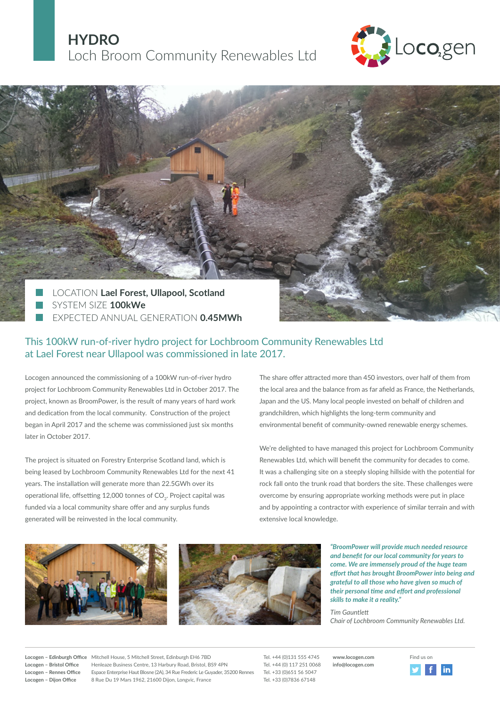# **HYDRO** Loch Broom Community Renewables Ltd





## This 100kW run-of-river hydro project for Lochbroom Community Renewables Ltd at Lael Forest near Ullapool was commissioned in late 2017.

Locogen announced the commissioning of a 100kW run-of-river hydro project for Lochbroom Community Renewables Ltd in October 2017. The project, known as BroomPower, is the result of many years of hard work and dedication from the local community. Construction of the project began in April 2017 and the scheme was commissioned just six months later in October 2017.

The project is situated on Forestry Enterprise Scotland land, which is being leased by Lochbroom Community Renewables Ltd for the next 41 years. The installation will generate more than 22.5GWh over its operational life, offsetting 12,000 tonnes of CO<sub>2</sub>. Project capital was funded via a local community share offer and any surplus funds generated will be reinvested in the local community.

The share offer attracted more than 450 investors, over half of them from the local area and the balance from as far afield as France, the Netherlands, Japan and the US. Many local people invested on behalf of children and grandchildren, which highlights the long-term community and environmental benefit of community-owned renewable energy schemes.

We're delighted to have managed this project for Lochbroom Community Renewables Ltd, which will benefit the community for decades to come. It was a challenging site on a steeply sloping hillside with the potential for rock fall onto the trunk road that borders the site. These challenges were overcome by ensuring appropriate working methods were put in place and by appointing a contractor with experience of similar terrain and with extensive local knowledge.



*"BroomPower will provide much needed resource and benefit for our local community for years to come. We are immensely proud of the huge team effort that has brought BroomPower into being and grateful to all those who have given so much of their personal time and effort and professional skills to make it a reality."*

*Tim Gauntlett Chair of Lochbroom Community Renewables Ltd.* 

Locogen – Edinburgh Office Mitchell House, 5 Mitchell Street, Edinburgh EH6 7BD Tel. +44 (0)131 555 4745 www.locogen.com Find us on Locogen – Bristol Office Henleaze Business Centre, 13 Harbury Road, Bristol, BS9 4PN Tel. +44 (0) 117 251 0068 **Locogen – Rennes Office** Espace Enterprise Haut Blosne (2A), 34 Rue Frederic Le Guyader, 35200 Rennes Tel. +33 (0)651 56 5047 **Locogen – Dijon Office** 8 Rue Du 19 Mars 1962, 21600 Dijon, Longvic, France Tel. +33 (0)7836 67148

**www.locogen.com info@locogen.com**